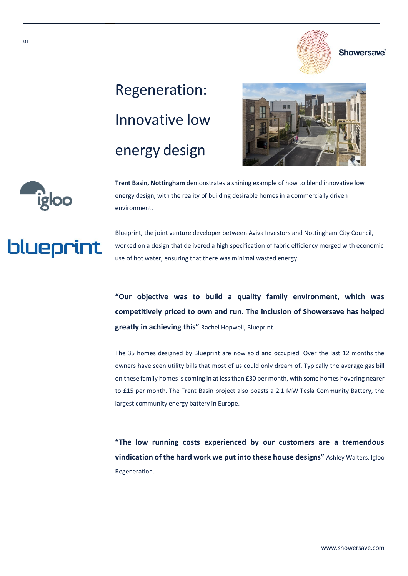## Regeneration: Innovative low energy design





**Trent Basin, Nottingham** demonstrates a shining example of how to blend innovative low energy design, with the reality of building desirable homes in a commercially driven environment.



Blueprint, the joint venture developer between Aviva Investors and Nottingham City Council, worked on a design that delivered a high specification of fabric efficiency merged with economic use of hot water, ensuring that there was minimal wasted energy.

**"Our objective was to build a quality family environment, which was competitively priced to own and run. The inclusion of Showersave has helped greatly in achieving this"** Rachel Hopwell, Blueprint.

The 35 homes designed by Blueprint are now sold and occupied. Over the last 12 months the owners have seen utility bills that most of us could only dream of. Typically the average gas bill on these family homes is coming in at less than £30 per month, with some homes hovering nearer to £15 per month. The Trent Basin project also boasts a 2.1 MW Tesla Community Battery, the largest community energy battery in Europe.

**"The low running costs experienced by our customers are a tremendous vindication of the hard work we put into these house designs"** Ashley Walters, Igloo Regeneration.